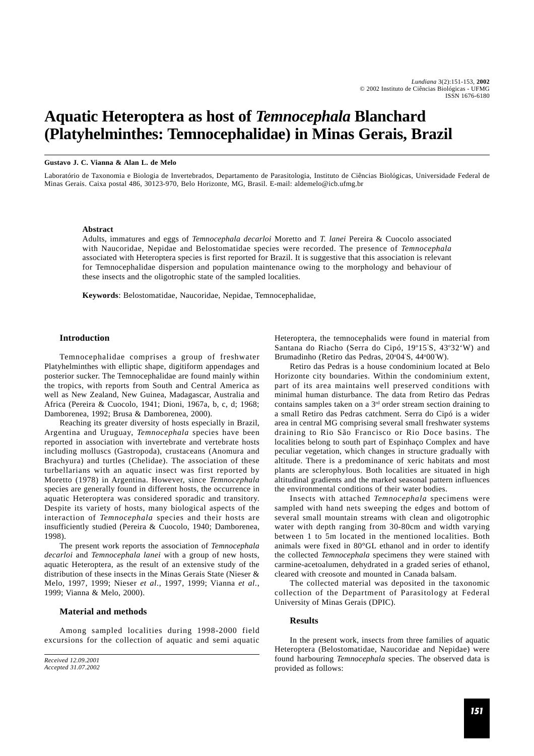# **Aquatic Heteroptera as host of** *Temnocephala* **Blanchard (Platyhelminthes: Temnocephalidae) in Minas Gerais, Brazil**

## **Gustavo J. C. Vianna & Alan L. de Melo**

Laboratório de Taxonomia e Biologia de Invertebrados, Departamento de Parasitologia, Instituto de Ciências Biológicas, Universidade Federal de Minas Gerais. Caixa postal 486, 30123-970, Belo Horizonte, MG, Brasil. E-mail: aldemelo@icb.ufmg.br

## **Abstract**

Adults, immatures and eggs of *Temnocephala decarloi* Moretto and *T. lanei* Pereira & Cuocolo associated with Naucoridae, Nepidae and Belostomatidae species were recorded. The presence of *Temnocephala* associated with Heteroptera species is first reported for Brazil. It is suggestive that this association is relevant for Temnocephalidae dispersion and population maintenance owing to the morphology and behaviour of these insects and the oligotrophic state of the sampled localities.

**Keywords**: Belostomatidae, Naucoridae, Nepidae, Temnocephalidae,

## **Introduction**

Temnocephalidae comprises a group of freshwater Platyhelminthes with elliptic shape, digitiform appendages and posterior sucker. The Temnocephalidae are found mainly within the tropics, with reports from South and Central America as well as New Zealand, New Guinea, Madagascar, Australia and Africa (Pereira & Cuocolo, 1941; Dioni, 1967a, b, c, d; 1968; Damborenea, 1992; Brusa & Damborenea, 2000).

Reaching its greater diversity of hosts especially in Brazil, Argentina and Uruguay, *Temnocephala* species have been reported in association with invertebrate and vertebrate hosts including molluscs (Gastropoda), crustaceans (Anomura and Brachyura) and turtles (Chelidae). The association of these turbellarians with an aquatic insect was first reported by Moretto (1978) in Argentina. However, since *Temnocephala* species are generally found in different hosts, the occurrence in aquatic Heteroptera was considered sporadic and transitory. Despite its variety of hosts, many biological aspects of the interaction of *Temnocephala* species and their hosts are insufficiently studied (Pereira & Cuocolo, 1940; Damborenea, 1998).

The present work reports the association of *Temnocephala decarloi* and *Temnocephala lanei* with a group of new hosts, aquatic Heteroptera, as the result of an extensive study of the distribution of these insects in the Minas Gerais State (Nieser & Melo, 1997, 1999; Nieser *et al*., 1997, 1999; Vianna *et al.*, 1999; Vianna & Melo, 2000).

#### **Material and methods**

Among sampled localities during 1998-2000 field excursions for the collection of aquatic and semi aquatic Heteroptera, the temnocephalids were found in material from Santana do Riacho (Serra do Cipó, 19°15'S, 43°32'W) and Brumadinho (Retiro das Pedras, 20°04'S, 44°00'W).

Retiro das Pedras is a house condominium located at Belo Horizonte city boundaries. Within the condominium extent, part of its area maintains well preserved conditions with minimal human disturbance. The data from Retiro das Pedras contains samples taken on a  $3<sup>rd</sup>$  order stream section draining to a small Retiro das Pedras catchment. Serra do Cipó is a wider area in central MG comprising several small freshwater systems draining to Rio São Francisco or Rio Doce basins. The localities belong to south part of Espinhaço Complex and have peculiar vegetation, which changes in structure gradually with altitude. There is a predominance of xeric habitats and most plants are sclerophylous. Both localities are situated in high altitudinal gradients and the marked seasonal pattern influences the environmental conditions of their water bodies.

Insects with attached *Temnocephala* specimens were sampled with hand nets sweeping the edges and bottom of several small mountain streams with clean and oligotrophic water with depth ranging from 30-80cm and width varying between 1 to 5m located in the mentioned localities. Both animals were fixed in 80°GL ethanol and in order to identify the collected *Temnocephala* specimens they were stained with carmine-acetoalumen, dehydrated in a graded series of ethanol, cleared with creosote and mounted in Canada balsam.

The collected material was deposited in the taxonomic collection of the Department of Parasitology at Federal University of Minas Gerais (DPIC).

#### **Results**

In the present work, insects from three families of aquatic Heteroptera (Belostomatidae, Naucoridae and Nepidae) were found harbouring *Temnocephala* species. The observed data is provided as follows:

*Received 12.09.2001 Accepted 31.07.2002*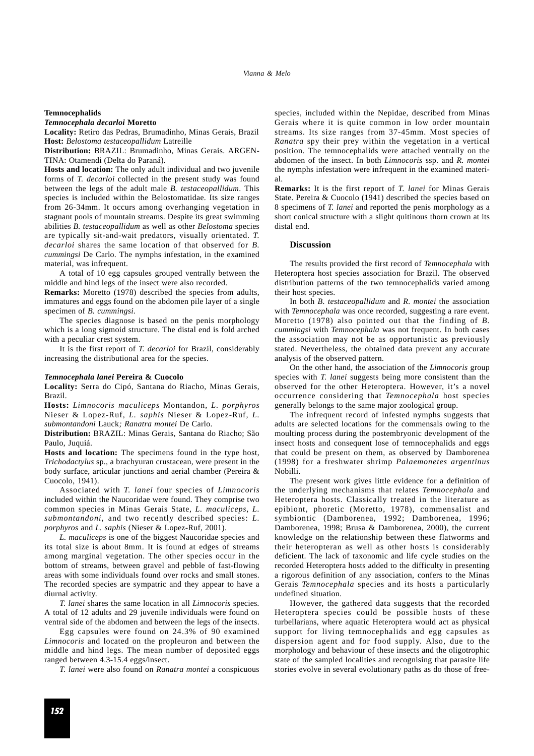## **Temnocephalids**

#### *Temnocephala decarloi* **Moretto**

**Locality:** Retiro das Pedras, Brumadinho, Minas Gerais, Brazil **Host:** *Belostoma testaceopallidum* Latreille

**Distribution:** BRAZIL: Brumadinho, Minas Gerais. ARGEN-TINA: Otamendi (Delta do Paraná).

**Hosts and location:** The only adult individual and two juvenile forms of *T. decarloi* collected in the present study was found between the legs of the adult male *B. testaceopallidum*. This species is included within the Belostomatidae. Its size ranges from 26-34mm. It occurs among overhanging vegetation in stagnant pools of mountain streams. Despite its great swimming abilities *B. testaceopallidum* as well as other *Belostoma* species are typically sit-and-wait predators, visually orientated. *T. decarloi* shares the same location of that observed for *B. cummingsi* De Carlo. The nymphs infestation, in the examined material, was infrequent.

A total of 10 egg capsules grouped ventrally between the middle and hind legs of the insect were also recorded.

**Remarks:** Moretto (1978) described the species from adults, immatures and eggs found on the abdomen pile layer of a single specimen of *B. cummingsi*.

The species diagnose is based on the penis morphology which is a long sigmoid structure. The distal end is fold arched with a peculiar crest system.

It is the first report of *T. decarloi* for Brazil, considerably increasing the distributional area for the species.

#### *Temnocephala lanei* **Pereira & Cuocolo**

**Locality:** Serra do Cipó, Santana do Riacho, Minas Gerais, Brazil.

**Hosts:** *Limnocoris maculiceps* Montandon*, L. porphyros* Nieser & Lopez-Ruf*, L. saphis* Nieser & Lopez-Ruf*, L. submontandoni* Lauck*; Ranatra montei* De Carlo.

**Distribution:** BRAZIL: Minas Gerais, Santana do Riacho; São Paulo, Juquiá.

**Hosts and location:** The specimens found in the type host, *Trichodactylus* sp., a brachyuran crustacean, were present in the body surface, articular junctions and aerial chamber (Pereira & Cuocolo, 1941).

Associated with *T. lanei* four species of *Limnocoris* included within the Naucoridae were found. They comprise two common species in Minas Gerais State, *L. maculiceps*, *L. submontandoni*, and two recently described species: *L. porphyros* and *L. saphis* (Nieser & Lopez-Ruf, 2001).

*L. maculiceps* is one of the biggest Naucoridae species and its total size is about 8mm. It is found at edges of streams among marginal vegetation. The other species occur in the bottom of streams, between gravel and pebble of fast-flowing areas with some individuals found over rocks and small stones. The recorded species are sympatric and they appear to have a diurnal activity.

*T. lanei* shares the same location in all *Limnocoris* species*.* A total of 12 adults and 29 juvenile individuals were found on ventral side of the abdomen and between the legs of the insects.

Egg capsules were found on 24.3% of 90 examined *Limnocoris* and located on the propleuron and between the middle and hind legs. The mean number of deposited eggs ranged between 4.3-15.4 eggs/insect.

*T. lanei* were also found on *Ranatra montei* a conspicuous

species, included within the Nepidae, described from Minas Gerais where it is quite common in low order mountain streams. Its size ranges from 37-45mm. Most species of *Ranatra* spy their prey within the vegetation in a vertical position. The temnocephalids were attached ventrally on the abdomen of the insect. In both *Limnocoris* ssp. and *R. montei* the nymphs infestation were infrequent in the examined material.

**Remarks:** It is the first report of *T. lanei* for Minas Gerais State. Pereira & Cuocolo (1941) described the species based on 8 specimens of *T. lanei* and reported the penis morphology as a short conical structure with a slight quitinous thorn crown at its distal end.

## **Discussion**

The results provided the first record of *Temnocephala* with Heteroptera host species association for Brazil. The observed distribution patterns of the two temnocephalids varied among their host species.

In both *B. testaceopallidum* and *R. montei* the association with *Temnocephala* was once recorded, suggesting a rare event. Moretto (1978) also pointed out that the finding of *B. cummingsi* with *Temnocephala* was not frequent. In both cases the association may not be as opportunistic as previously stated. Nevertheless, the obtained data prevent any accurate analysis of the observed pattern.

On the other hand, the association of the *Limnocoris* group species with *T. lanei* suggests being more consistent than the observed for the other Heteroptera. However, it's a novel occurrence considering that *Temnocephala* host species generally belongs to the same major zoological group.

The infrequent record of infested nymphs suggests that adults are selected locations for the commensals owing to the moulting process during the postembryonic development of the insect hosts and consequent lose of temnocephalids and eggs that could be present on them, as observed by Damborenea (1998) for a freshwater shrimp *Palaemonetes argentinus* Nobilli.

The present work gives little evidence for a definition of the underlying mechanisms that relates *Temnocephala* and Heteroptera hosts. Classically treated in the literature as epibiont, phoretic (Moretto, 1978), commensalist and symbiontic (Damborenea, 1992; Damborenea, 1996; Damborenea, 1998; Brusa & Damborenea, 2000), the current knowledge on the relationship between these flatworms and their heteropteran as well as other hosts is considerably deficient. The lack of taxonomic and life cycle studies on the recorded Heteroptera hosts added to the difficulty in presenting a rigorous definition of any association, confers to the Minas Gerais *Temnocephala* species and its hosts a particularly undefined situation.

However, the gathered data suggests that the recorded Heteroptera species could be possible hosts of these turbellarians, where aquatic Heteroptera would act as physical support for living temnocephalids and egg capsules as dispersion agent and for food supply. Also, due to the morphology and behaviour of these insects and the oligotrophic state of the sampled localities and recognising that parasite life stories evolve in several evolutionary paths as do those of free